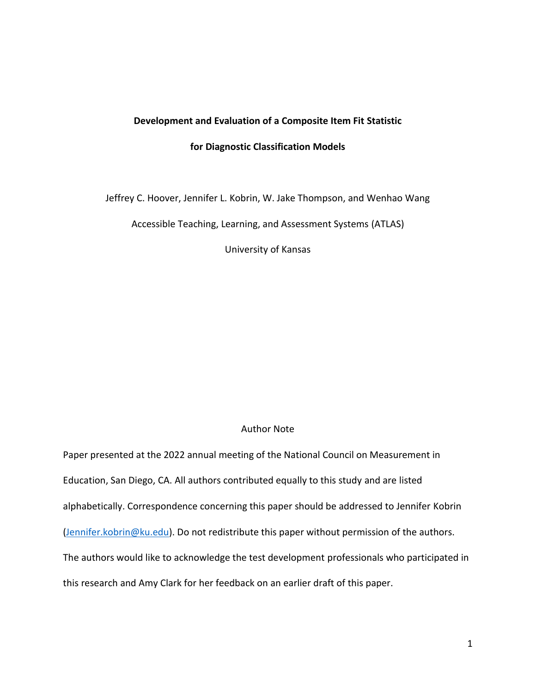# **Development and Evaluation of a Composite Item Fit Statistic**

## **for Diagnostic Classification Models**

Jeffrey C. Hoover, Jennifer L. Kobrin, W. Jake Thompson, and Wenhao Wang

Accessible Teaching, Learning, and Assessment Systems (ATLAS)

University of Kansas

## Author Note

Paper presented at the 2022 annual meeting of the National Council on Measurement in Education, San Diego, CA. All authors contributed equally to this study and are listed alphabetically. Correspondence concerning this paper should be addressed to Jennifer Kobrin [\(Jennifer.kobrin@ku.edu\)](mailto:Jennifer.kobrin@ku.edu). Do not redistribute this paper without permission of the authors. The authors would like to acknowledge the test development professionals who participated in this research and Amy Clark for her feedback on an earlier draft of this paper.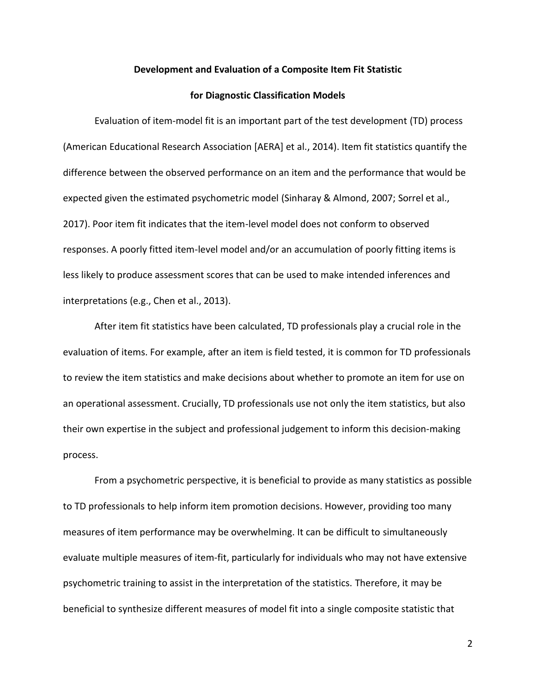#### **Development and Evaluation of a Composite Item Fit Statistic**

#### **for Diagnostic Classification Models**

Evaluation of item-model fit is an important part of the test development (TD) process (American Educational Research Association [AERA] et al., 2014). Item fit statistics quantify the difference between the observed performance on an item and the performance that would be expected given the estimated psychometric model (Sinharay & Almond, 2007; Sorrel et al., 2017). Poor item fit indicates that the item-level model does not conform to observed responses. A poorly fitted item-level model and/or an accumulation of poorly fitting items is less likely to produce assessment scores that can be used to make intended inferences and interpretations (e.g., Chen et al., 2013).

After item fit statistics have been calculated, TD professionals play a crucial role in the evaluation of items. For example, after an item is field tested, it is common for TD professionals to review the item statistics and make decisions about whether to promote an item for use on an operational assessment. Crucially, TD professionals use not only the item statistics, but also their own expertise in the subject and professional judgement to inform this decision-making process.

From a psychometric perspective, it is beneficial to provide as many statistics as possible to TD professionals to help inform item promotion decisions. However, providing too many measures of item performance may be overwhelming. It can be difficult to simultaneously evaluate multiple measures of item-fit, particularly for individuals who may not have extensive psychometric training to assist in the interpretation of the statistics. Therefore, it may be beneficial to synthesize different measures of model fit into a single composite statistic that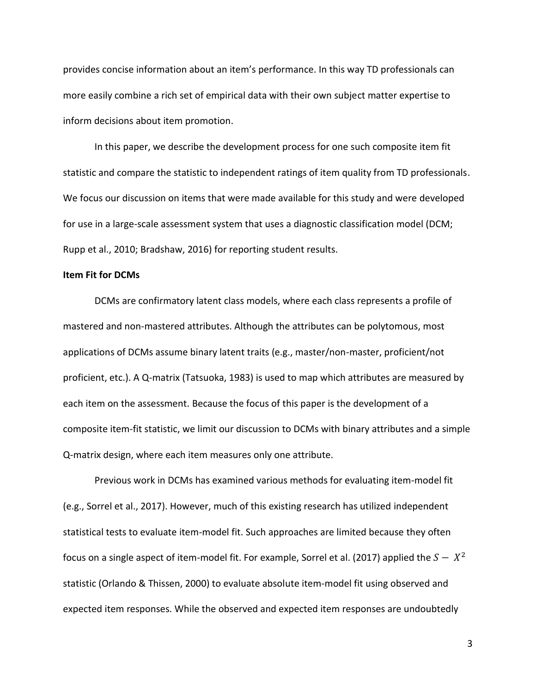provides concise information about an item's performance. In this way TD professionals can more easily combine a rich set of empirical data with their own subject matter expertise to inform decisions about item promotion.

In this paper, we describe the development process for one such composite item fit statistic and compare the statistic to independent ratings of item quality from TD professionals. We focus our discussion on items that were made available for this study and were developed for use in a large-scale assessment system that uses a diagnostic classification model (DCM; Rupp et al., 2010; Bradshaw, 2016) for reporting student results.

## **Item Fit for DCMs**

DCMs are confirmatory latent class models, where each class represents a profile of mastered and non-mastered attributes. Although the attributes can be polytomous, most applications of DCMs assume binary latent traits (e.g., master/non-master, proficient/not proficient, etc.). A Q-matrix (Tatsuoka, 1983) is used to map which attributes are measured by each item on the assessment. Because the focus of this paper is the development of a composite item-fit statistic, we limit our discussion to DCMs with binary attributes and a simple Q-matrix design, where each item measures only one attribute.

Previous work in DCMs has examined various methods for evaluating item-model fit (e.g., Sorrel et al., 2017). However, much of this existing research has utilized independent statistical tests to evaluate item-model fit. Such approaches are limited because they often focus on a single aspect of item-model fit. For example, Sorrel et al. (2017) applied the  $S - X^2$ statistic (Orlando & Thissen, 2000) to evaluate absolute item-model fit using observed and expected item responses. While the observed and expected item responses are undoubtedly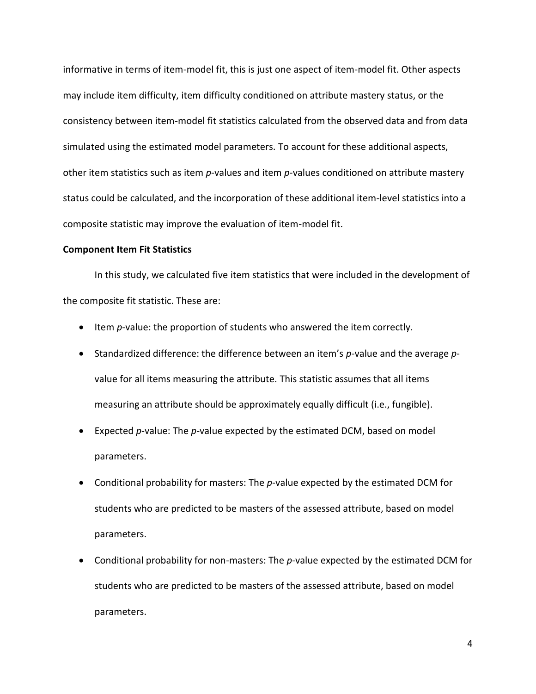informative in terms of item-model fit, this is just one aspect of item-model fit. Other aspects may include item difficulty, item difficulty conditioned on attribute mastery status, or the consistency between item-model fit statistics calculated from the observed data and from data simulated using the estimated model parameters. To account for these additional aspects, other item statistics such as item *p*-values and item *p*-values conditioned on attribute mastery status could be calculated, and the incorporation of these additional item-level statistics into a composite statistic may improve the evaluation of item-model fit.

#### **Component Item Fit Statistics**

In this study, we calculated five item statistics that were included in the development of the composite fit statistic. These are:

- Item *p*-value: the proportion of students who answered the item correctly.
- Standardized difference: the difference between an item's *p*-value and the average *p*value for all items measuring the attribute. This statistic assumes that all items measuring an attribute should be approximately equally difficult (i.e., fungible).
- Expected *p*-value: The *p*-value expected by the estimated DCM, based on model parameters.
- Conditional probability for masters: The *p*-value expected by the estimated DCM for students who are predicted to be masters of the assessed attribute, based on model parameters.
- Conditional probability for non-masters: The *p*-value expected by the estimated DCM for students who are predicted to be masters of the assessed attribute, based on model parameters.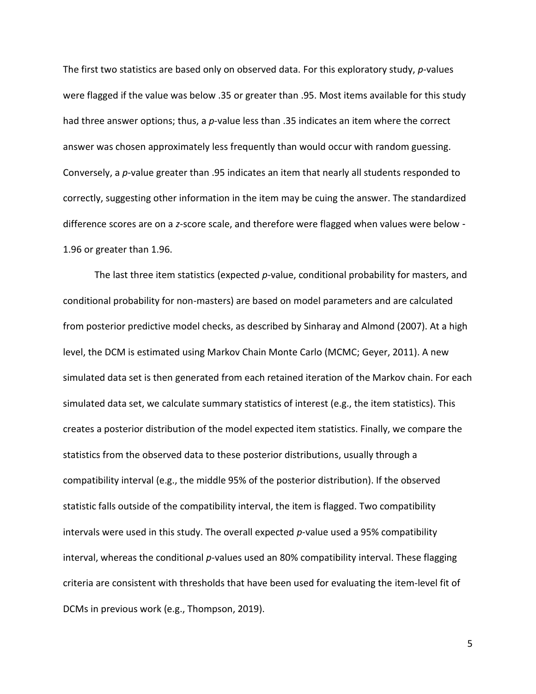The first two statistics are based only on observed data. For this exploratory study, *p*-values were flagged if the value was below .35 or greater than .95. Most items available for this study had three answer options; thus, a *p*-value less than .35 indicates an item where the correct answer was chosen approximately less frequently than would occur with random guessing. Conversely, a *p*-value greater than .95 indicates an item that nearly all students responded to correctly, suggesting other information in the item may be cuing the answer. The standardized difference scores are on a *z*-score scale, and therefore were flagged when values were below - 1.96 or greater than 1.96.

The last three item statistics (expected *p*-value, conditional probability for masters, and conditional probability for non-masters) are based on model parameters and are calculated from posterior predictive model checks, as described by Sinharay and Almond (2007). At a high level, the DCM is estimated using Markov Chain Monte Carlo (MCMC; Geyer, 2011). A new simulated data set is then generated from each retained iteration of the Markov chain. For each simulated data set, we calculate summary statistics of interest (e.g., the item statistics). This creates a posterior distribution of the model expected item statistics. Finally, we compare the statistics from the observed data to these posterior distributions, usually through a compatibility interval (e.g., the middle 95% of the posterior distribution). If the observed statistic falls outside of the compatibility interval, the item is flagged. Two compatibility intervals were used in this study. The overall expected *p*-value used a 95% compatibility interval, whereas the conditional *p*-values used an 80% compatibility interval. These flagging criteria are consistent with thresholds that have been used for evaluating the item-level fit of DCMs in previous work (e.g., Thompson, 2019).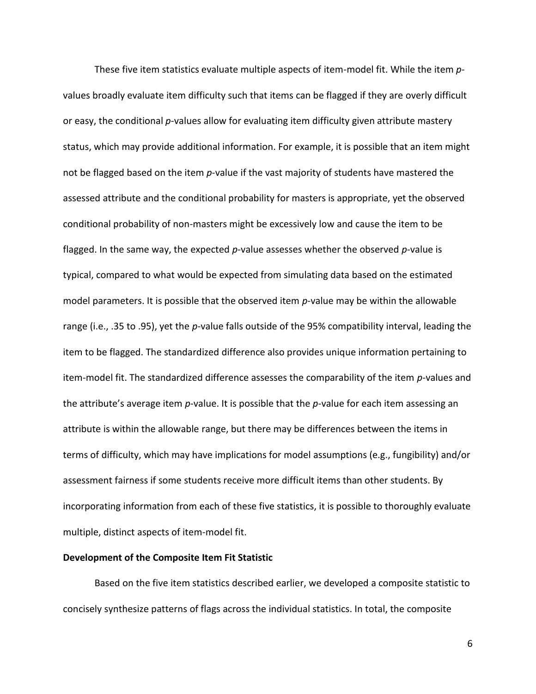These five item statistics evaluate multiple aspects of item-model fit. While the item *p*values broadly evaluate item difficulty such that items can be flagged if they are overly difficult or easy, the conditional *p*-values allow for evaluating item difficulty given attribute mastery status, which may provide additional information. For example, it is possible that an item might not be flagged based on the item *p*-value if the vast majority of students have mastered the assessed attribute and the conditional probability for masters is appropriate, yet the observed conditional probability of non-masters might be excessively low and cause the item to be flagged. In the same way, the expected *p-*value assesses whether the observed *p-*value is typical, compared to what would be expected from simulating data based on the estimated model parameters. It is possible that the observed item *p*-value may be within the allowable range (i.e., .35 to .95), yet the *p-*value falls outside of the 95% compatibility interval, leading the item to be flagged. The standardized difference also provides unique information pertaining to item-model fit. The standardized difference assesses the comparability of the item *p-*values and the attribute's average item *p-*value. It is possible that the *p-*value for each item assessing an attribute is within the allowable range, but there may be differences between the items in terms of difficulty, which may have implications for model assumptions (e.g., fungibility) and/or assessment fairness if some students receive more difficult items than other students. By incorporating information from each of these five statistics, it is possible to thoroughly evaluate multiple, distinct aspects of item-model fit.

### **Development of the Composite Item Fit Statistic**

Based on the five item statistics described earlier, we developed a composite statistic to concisely synthesize patterns of flags across the individual statistics. In total, the composite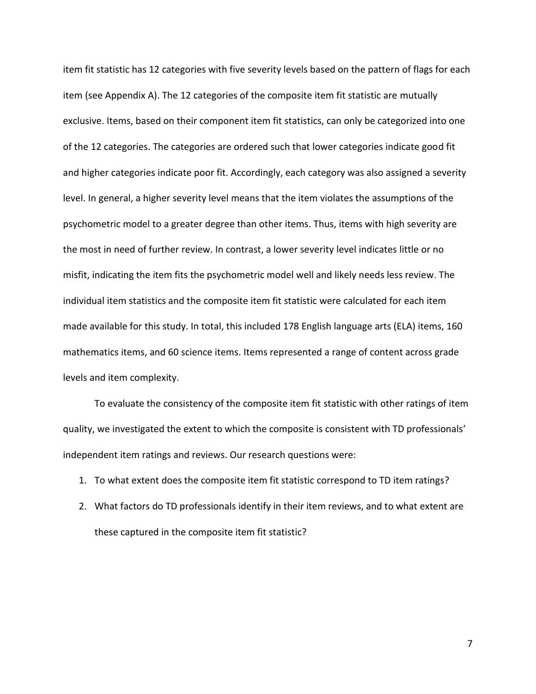item fit statistic has 12 categories with five severity levels based on the pattern of flags for each item (see Appendix A). The 12 categories of the composite item fit statistic are mutually exclusive. Items, based on their component item fit statistics, can only be categorized into one of the 12 categories. The categories are ordered such that lower categories indicate good fit and higher categories indicate poor fit. Accordingly, each category was also assigned a severity level. In general, a higher severity level means that the item violates the assumptions of the psychometric model to a greater degree than other items. Thus, items with high severity are the most in need of further review. In contrast, a lower severity level indicates little or no misfit, indicating the item fits the psychometric model well and likely needs less review. The individual item statistics and the composite item fit statistic were calculated for each item made available for this study. In total, this included 178 English language arts (ELA) items, 160 mathematics items, and 60 science items. Items represented a range of content across grade levels and item complexity.

To evaluate the consistency of the composite item fit statistic with other ratings of item quality, we investigated the extent to which the composite is consistent with TD professionals' independent item ratings and reviews. Our research questions were:

- 1. To what extent does the composite item fit statistic correspond to TD item ratings?
- 2. What factors do TD professionals identify in their item reviews, and to what extent are these captured in the composite item fit statistic?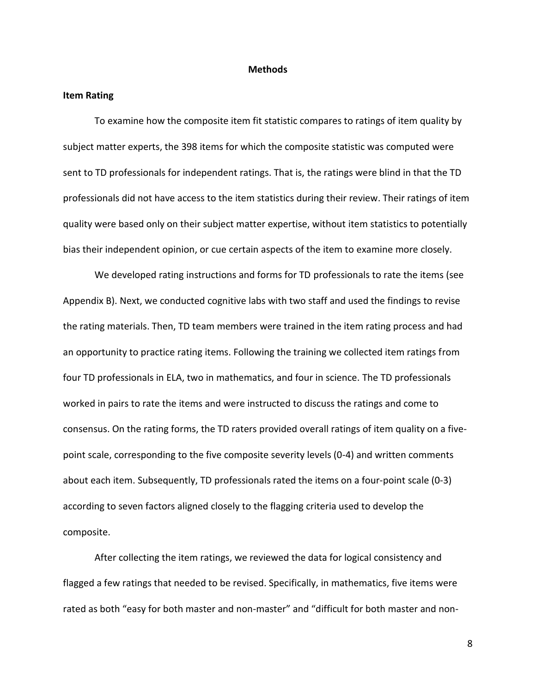#### **Methods**

#### **Item Rating**

To examine how the composite item fit statistic compares to ratings of item quality by subject matter experts, the 398 items for which the composite statistic was computed were sent to TD professionals for independent ratings. That is, the ratings were blind in that the TD professionals did not have access to the item statistics during their review. Their ratings of item quality were based only on their subject matter expertise, without item statistics to potentially bias their independent opinion, or cue certain aspects of the item to examine more closely.

We developed rating instructions and forms for TD professionals to rate the items (see Appendix B). Next, we conducted cognitive labs with two staff and used the findings to revise the rating materials. Then, TD team members were trained in the item rating process and had an opportunity to practice rating items. Following the training we collected item ratings from four TD professionals in ELA, two in mathematics, and four in science. The TD professionals worked in pairs to rate the items and were instructed to discuss the ratings and come to consensus. On the rating forms, the TD raters provided overall ratings of item quality on a fivepoint scale, corresponding to the five composite severity levels (0-4) and written comments about each item. Subsequently, TD professionals rated the items on a four-point scale (0-3) according to seven factors aligned closely to the flagging criteria used to develop the composite.

After collecting the item ratings, we reviewed the data for logical consistency and flagged a few ratings that needed to be revised. Specifically, in mathematics, five items were rated as both "easy for both master and non-master" and "difficult for both master and non-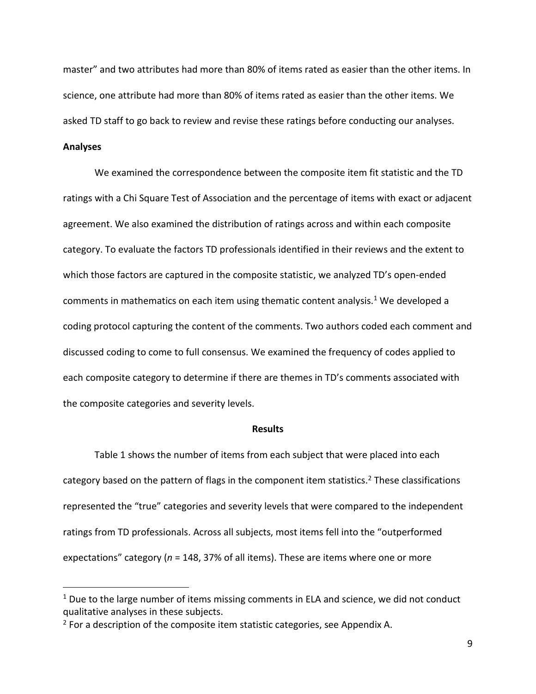master" and two attributes had more than 80% of items rated as easier than the other items. In science, one attribute had more than 80% of items rated as easier than the other items. We asked TD staff to go back to review and revise these ratings before conducting our analyses.

## **Analyses**

We examined the correspondence between the composite item fit statistic and the TD ratings with a Chi Square Test of Association and the percentage of items with exact or adjacent agreement. We also examined the distribution of ratings across and within each composite category. To evaluate the factors TD professionals identified in their reviews and the extent to which those factors are captured in the composite statistic, we analyzed TD's open-ended comments in mathematics on each item using thematic content analysis.<sup>1</sup> We developed a coding protocol capturing the content of the comments. Two authors coded each comment and discussed coding to come to full consensus. We examined the frequency of codes applied to each composite category to determine if there are themes in TD's comments associated with the composite categories and severity levels.

### **Results**

Table 1 shows the number of items from each subject that were placed into each category based on the pattern of flags in the component item statistics.<sup>2</sup> These classifications represented the "true" categories and severity levels that were compared to the independent ratings from TD professionals. Across all subjects, most items fell into the "outperformed expectations" category (*n* = 148, 37% of all items). These are items where one or more

 $1$  Due to the large number of items missing comments in ELA and science, we did not conduct qualitative analyses in these subjects.

 $2$  For a description of the composite item statistic categories, see Appendix A.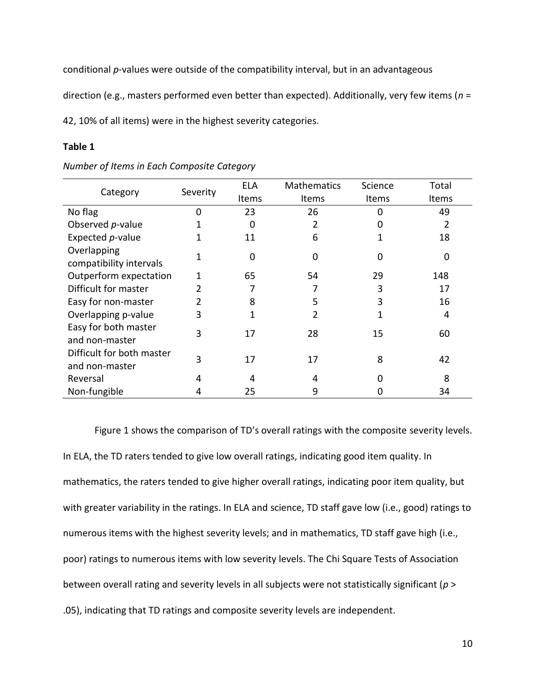conditional *p*-values were outside of the compatibility interval, but in an advantageous

direction (e.g., masters performed even better than expected). Additionally, very few items (*n* =

42, 10% of all items) were in the highest severity categories.

## **Table 1**

| Category                                    | Severity | <b>ELA</b> | <b>Mathematics</b> | Science | Total |
|---------------------------------------------|----------|------------|--------------------|---------|-------|
|                                             |          | Items      | Items              | Items   | Items |
| No flag                                     | 0        | 23         | 26                 | ი       | 49    |
| Observed p-value                            |          | 0          |                    |         | 2     |
| Expected p-value                            |          | 11         | 6                  |         | 18    |
| Overlapping<br>compatibility intervals      |          | 0          | O                  | ი       | 0     |
| Outperform expectation                      |          | 65         | 54                 | 29      | 148   |
| Difficult for master                        |          |            |                    | 3       | 17    |
| Easy for non-master                         | 2        | 8          | 5                  | 3       | 16    |
| Overlapping p-value                         | 3        | 1          | 2                  |         | 4     |
| Easy for both master<br>and non-master      | 3        | 17         | 28                 | 15      | 60    |
| Difficult for both master<br>and non-master | 3        | 17         | 17                 | 8       | 42    |
| Reversal                                    | 4        | 4          | 4                  |         | 8     |
| Non-fungible                                |          | 25         | 9                  |         | 34    |

*Number of Items in Each Composite Category*

Figure 1 shows the comparison of TD's overall ratings with the composite severity levels. In ELA, the TD raters tended to give low overall ratings, indicating good item quality. In mathematics, the raters tended to give higher overall ratings, indicating poor item quality, but with greater variability in the ratings. In ELA and science, TD staff gave low (i.e., good) ratings to numerous items with the highest severity levels; and in mathematics, TD staff gave high (i.e., poor) ratings to numerous items with low severity levels. The Chi Square Tests of Association between overall rating and severity levels in all subjects were not statistically significant (*p* > .05), indicating that TD ratings and composite severity levels are independent.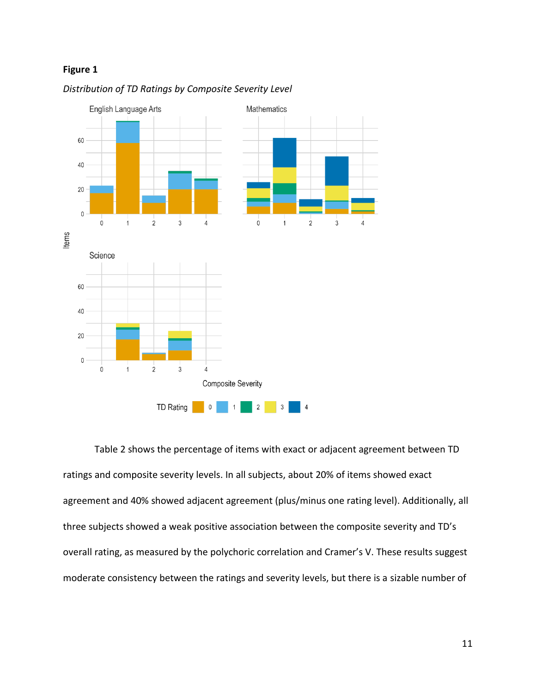# **Figure 1**



## *Distribution of TD Ratings by Composite Severity Level*

Table 2 shows the percentage of items with exact or adjacent agreement between TD ratings and composite severity levels. In all subjects, about 20% of items showed exact agreement and 40% showed adjacent agreement (plus/minus one rating level). Additionally, all three subjects showed a weak positive association between the composite severity and TD's overall rating, as measured by the polychoric correlation and Cramer's V. These results suggest moderate consistency between the ratings and severity levels, but there is a sizable number of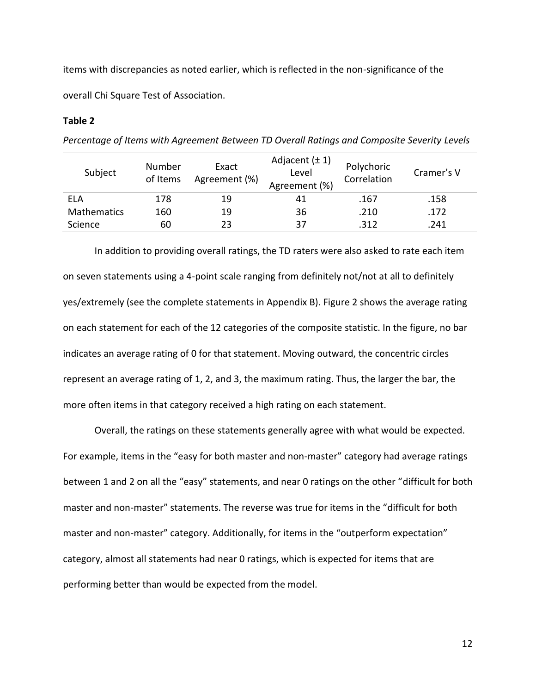items with discrepancies as noted earlier, which is reflected in the non-significance of the overall Chi Square Test of Association.

## **Table 2**

*Percentage of Items with Agreement Between TD Overall Ratings and Composite Severity Levels*

| Subject            | Number<br>of Items | Exact<br>Agreement (%) | Adjacent $(\pm 1)$<br>Level<br>Agreement (%) | Polychoric<br>Correlation | Cramer's V |
|--------------------|--------------------|------------------------|----------------------------------------------|---------------------------|------------|
| ELA                | 178                | 19                     | 41                                           | .167                      | .158       |
| <b>Mathematics</b> | 160                | 19                     | 36                                           | .210                      | .172       |
| Science            | 60                 | 23                     | 37                                           | .312                      | .241       |

In addition to providing overall ratings, the TD raters were also asked to rate each item on seven statements using a 4-point scale ranging from definitely not/not at all to definitely yes/extremely (see the complete statements in Appendix B). Figure 2 shows the average rating on each statement for each of the 12 categories of the composite statistic. In the figure, no bar indicates an average rating of 0 for that statement. Moving outward, the concentric circles represent an average rating of 1, 2, and 3, the maximum rating. Thus, the larger the bar, the more often items in that category received a high rating on each statement.

Overall, the ratings on these statements generally agree with what would be expected. For example, items in the "easy for both master and non-master" category had average ratings between 1 and 2 on all the "easy" statements, and near 0 ratings on the other "difficult for both master and non-master" statements. The reverse was true for items in the "difficult for both master and non-master" category. Additionally, for items in the "outperform expectation" category, almost all statements had near 0 ratings, which is expected for items that are performing better than would be expected from the model.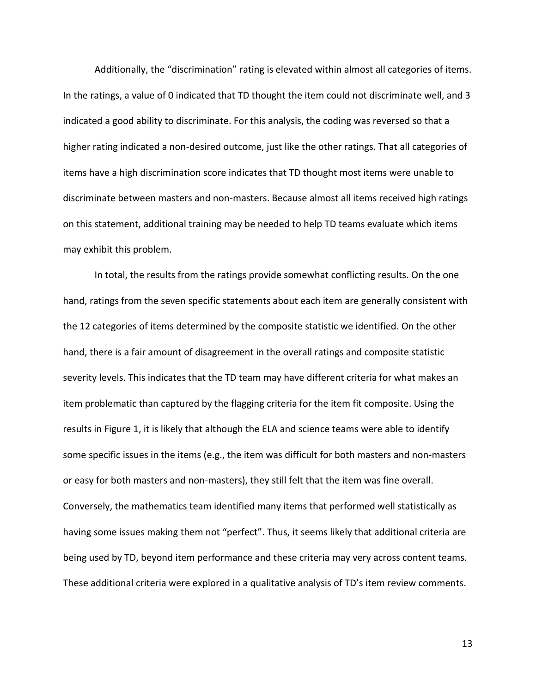Additionally, the "discrimination" rating is elevated within almost all categories of items. In the ratings, a value of 0 indicated that TD thought the item could not discriminate well, and 3 indicated a good ability to discriminate. For this analysis, the coding was reversed so that a higher rating indicated a non-desired outcome, just like the other ratings. That all categories of items have a high discrimination score indicates that TD thought most items were unable to discriminate between masters and non-masters. Because almost all items received high ratings on this statement, additional training may be needed to help TD teams evaluate which items may exhibit this problem.

In total, the results from the ratings provide somewhat conflicting results. On the one hand, ratings from the seven specific statements about each item are generally consistent with the 12 categories of items determined by the composite statistic we identified. On the other hand, there is a fair amount of disagreement in the overall ratings and composite statistic severity levels. This indicates that the TD team may have different criteria for what makes an item problematic than captured by the flagging criteria for the item fit composite. Using the results in Figure 1, it is likely that although the ELA and science teams were able to identify some specific issues in the items (e.g., the item was difficult for both masters and non-masters or easy for both masters and non-masters), they still felt that the item was fine overall. Conversely, the mathematics team identified many items that performed well statistically as having some issues making them not "perfect". Thus, it seems likely that additional criteria are being used by TD, beyond item performance and these criteria may very across content teams. These additional criteria were explored in a qualitative analysis of TD's item review comments.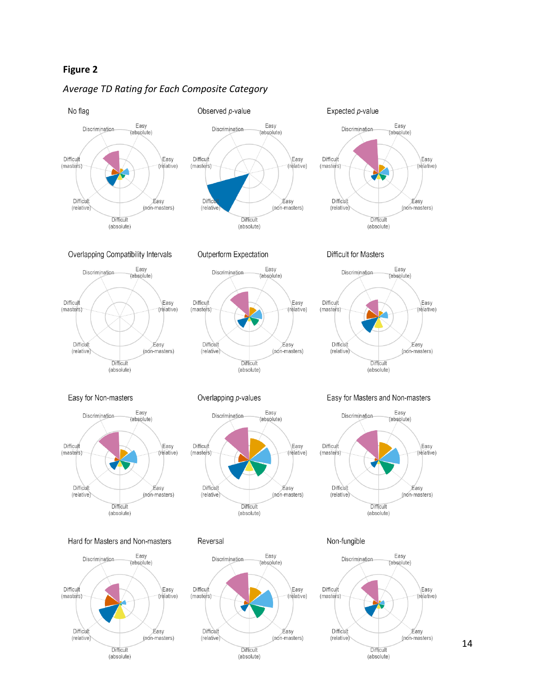# **Figure 2**

(absolute)

# *Average TD Rating for Each Composite Category*



(absolute)

14

(absolute)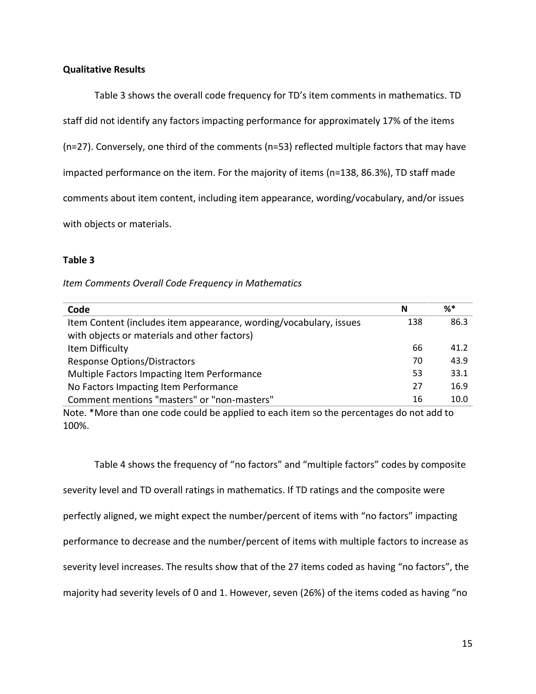# **Qualitative Results**

Table 3 shows the overall code frequency for TD's item comments in mathematics. TD staff did not identify any factors impacting performance for approximately 17% of the items (n=27). Conversely, one third of the comments (n=53) reflected multiple factors that may have impacted performance on the item. For the majority of items (n=138, 86.3%), TD staff made comments about item content, including item appearance, wording/vocabulary, and/or issues with objects or materials.

# **Table 3**

## *Item Comments Overall Code Frequency in Mathematics*

| Code                                                                                                               | N   | %*   |
|--------------------------------------------------------------------------------------------------------------------|-----|------|
| Item Content (includes item appearance, wording/vocabulary, issues<br>with objects or materials and other factors) | 138 | 86.3 |
| Item Difficulty                                                                                                    | 66  | 41.2 |
| <b>Response Options/Distractors</b>                                                                                | 70  | 43.9 |
| Multiple Factors Impacting Item Performance                                                                        | 53  | 33.1 |
| No Factors Impacting Item Performance                                                                              | 27  | 16.9 |
| Comment mentions "masters" or "non-masters"                                                                        | 16  | 10.0 |

Note. \*More than one code could be applied to each item so the percentages do not add to 100%.

Table 4 shows the frequency of "no factors" and "multiple factors" codes by composite severity level and TD overall ratings in mathematics. If TD ratings and the composite were perfectly aligned, we might expect the number/percent of items with "no factors" impacting performance to decrease and the number/percent of items with multiple factors to increase as severity level increases. The results show that of the 27 items coded as having "no factors", the majority had severity levels of 0 and 1. However, seven (26%) of the items coded as having "no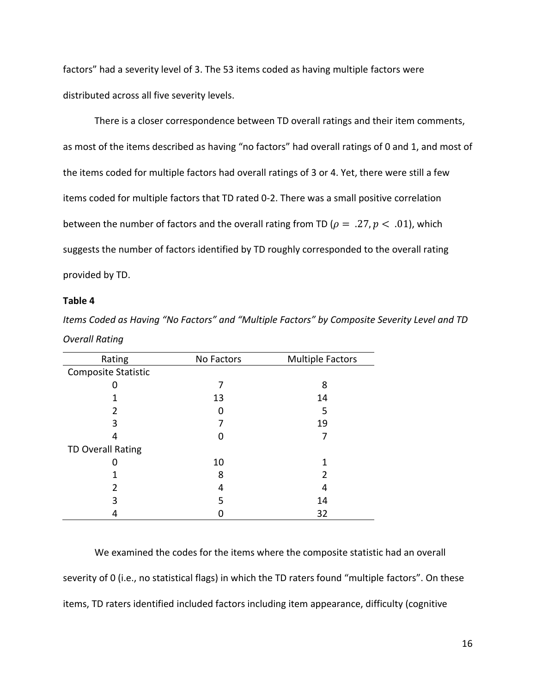factors" had a severity level of 3. The 53 items coded as having multiple factors were distributed across all five severity levels.

There is a closer correspondence between TD overall ratings and their item comments, as most of the items described as having "no factors" had overall ratings of 0 and 1, and most of the items coded for multiple factors had overall ratings of 3 or 4. Yet, there were still a few items coded for multiple factors that TD rated 0-2. There was a small positive correlation between the number of factors and the overall rating from TD ( $\rho = .27, p < .01$ ), which suggests the number of factors identified by TD roughly corresponded to the overall rating provided by TD.

## **Table 4**

| Rating                     | No Factors | <b>Multiple Factors</b> |  |  |
|----------------------------|------------|-------------------------|--|--|
| <b>Composite Statistic</b> |            |                         |  |  |
|                            |            | 8                       |  |  |
|                            | 13         | 14                      |  |  |
| 2                          |            | 5                       |  |  |
| 3                          |            | 19                      |  |  |
|                            |            |                         |  |  |
| <b>TD Overall Rating</b>   |            |                         |  |  |
|                            | 10         |                         |  |  |
|                            | 8          | 2                       |  |  |
|                            | 4          | 4                       |  |  |
| 3                          | 5          | 14                      |  |  |
|                            |            | 32                      |  |  |

*Items Coded as Having "No Factors" and "Multiple Factors" by Composite Severity Level and TD Overall Rating*

We examined the codes for the items where the composite statistic had an overall severity of 0 (i.e., no statistical flags) in which the TD raters found "multiple factors". On these items, TD raters identified included factors including item appearance, difficulty (cognitive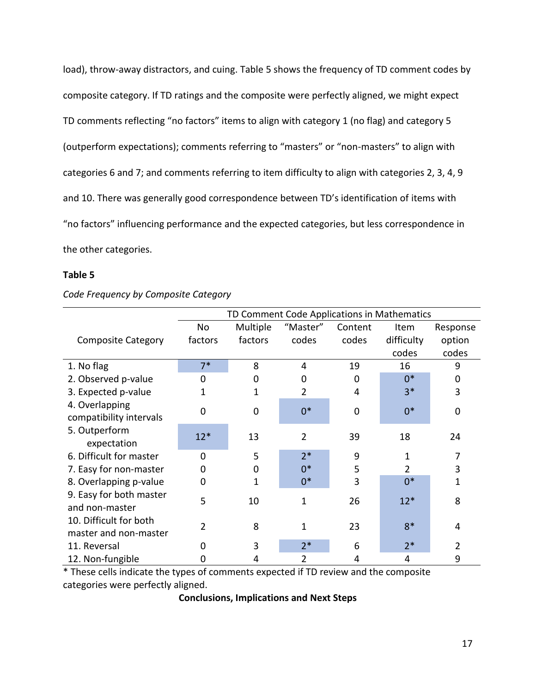load), throw-away distractors, and cuing. Table 5 shows the frequency of TD comment codes by composite category. If TD ratings and the composite were perfectly aligned, we might expect TD comments reflecting "no factors" items to align with category 1 (no flag) and category 5 (outperform expectations); comments referring to "masters" or "non-masters" to align with categories 6 and 7; and comments referring to item difficulty to align with categories 2, 3, 4, 9 and 10. There was generally good correspondence between TD's identification of items with "no factors" influencing performance and the expected categories, but less correspondence in the other categories.

## **Table 5**

| Code Frequency by Composite Category |  |  |  |
|--------------------------------------|--|--|--|
|--------------------------------------|--|--|--|

|                                                 | TD Comment Code Applications in Mathematics |             |                |             |            |          |
|-------------------------------------------------|---------------------------------------------|-------------|----------------|-------------|------------|----------|
|                                                 | No                                          | Multiple    | "Master"       | Content     | Item       | Response |
| <b>Composite Category</b>                       | factors                                     | factors     | codes          | codes       | difficulty | option   |
|                                                 |                                             |             |                |             | codes      | codes    |
| 1. No flag                                      | $7*$                                        | 8           | 4              | 19          | 16         | 9        |
| 2. Observed p-value                             | 0                                           | 0           | 0              | 0           | $0^*$      | 0        |
| 3. Expected p-value                             | 1                                           | 1           | 2              | 4           | $3*$       | 3        |
| 4. Overlapping<br>compatibility intervals       | $\Omega$                                    | $\mathbf 0$ | $0*$           | $\mathbf 0$ | $0*$       | 0        |
| 5. Outperform<br>expectation                    | $12*$                                       | 13          | $\overline{2}$ | 39          | 18         | 24       |
| 6. Difficult for master                         | $\Omega$                                    | 5           | $2*$           | 9           | 1          | 7        |
| 7. Easy for non-master                          | 0                                           | 0           | $0*$           | 5           | 2          | 3        |
| 8. Overlapping p-value                          | 0                                           | 1           | $0*$           | 3           | $0*$       | 1        |
| 9. Easy for both master<br>and non-master       | 5                                           | 10          | 1              | 26          | $12*$      | 8        |
| 10. Difficult for both<br>master and non-master | 2                                           | 8           | 1              | 23          | $8*$       | 4        |
| 11. Reversal                                    | 0                                           | 3           | $2*$           | 6           | $2*$       | 2        |
| 12. Non-fungible                                |                                             | 4           | 2              | 4           | 4          | 9        |

\* These cells indicate the types of comments expected if TD review and the composite categories were perfectly aligned.

**Conclusions, Implications and Next Steps**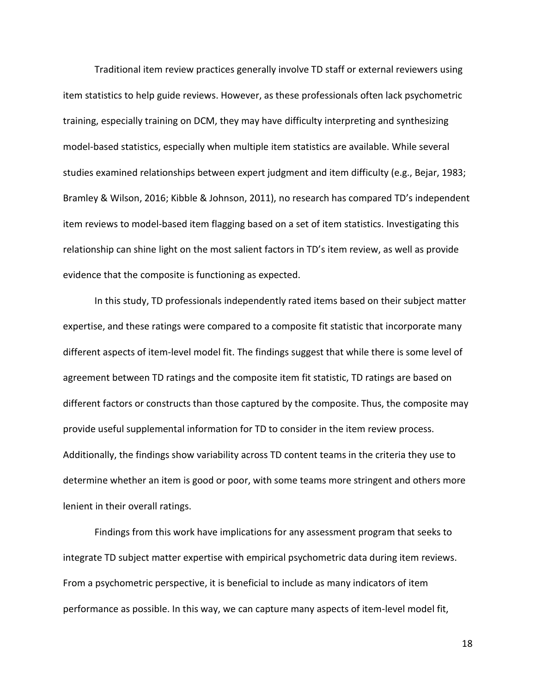Traditional item review practices generally involve TD staff or external reviewers using item statistics to help guide reviews. However, as these professionals often lack psychometric training, especially training on DCM, they may have difficulty interpreting and synthesizing model-based statistics, especially when multiple item statistics are available. While several studies examined relationships between expert judgment and item difficulty (e.g., Bejar, 1983; Bramley & Wilson, 2016; Kibble & Johnson, 2011), no research has compared TD's independent item reviews to model-based item flagging based on a set of item statistics. Investigating this relationship can shine light on the most salient factors in TD's item review, as well as provide evidence that the composite is functioning as expected.

In this study, TD professionals independently rated items based on their subject matter expertise, and these ratings were compared to a composite fit statistic that incorporate many different aspects of item-level model fit. The findings suggest that while there is some level of agreement between TD ratings and the composite item fit statistic, TD ratings are based on different factors or constructs than those captured by the composite. Thus, the composite may provide useful supplemental information for TD to consider in the item review process. Additionally, the findings show variability across TD content teams in the criteria they use to determine whether an item is good or poor, with some teams more stringent and others more lenient in their overall ratings.

Findings from this work have implications for any assessment program that seeks to integrate TD subject matter expertise with empirical psychometric data during item reviews. From a psychometric perspective, it is beneficial to include as many indicators of item performance as possible. In this way, we can capture many aspects of item-level model fit,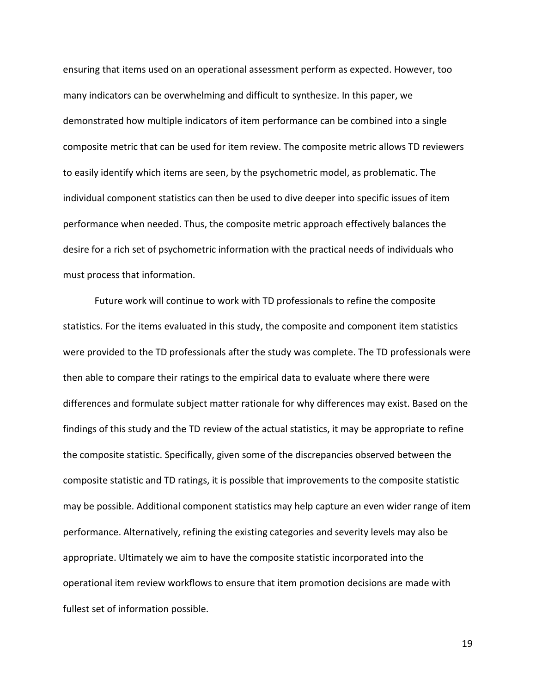ensuring that items used on an operational assessment perform as expected. However, too many indicators can be overwhelming and difficult to synthesize. In this paper, we demonstrated how multiple indicators of item performance can be combined into a single composite metric that can be used for item review. The composite metric allows TD reviewers to easily identify which items are seen, by the psychometric model, as problematic. The individual component statistics can then be used to dive deeper into specific issues of item performance when needed. Thus, the composite metric approach effectively balances the desire for a rich set of psychometric information with the practical needs of individuals who must process that information.

Future work will continue to work with TD professionals to refine the composite statistics. For the items evaluated in this study, the composite and component item statistics were provided to the TD professionals after the study was complete. The TD professionals were then able to compare their ratings to the empirical data to evaluate where there were differences and formulate subject matter rationale for why differences may exist. Based on the findings of this study and the TD review of the actual statistics, it may be appropriate to refine the composite statistic. Specifically, given some of the discrepancies observed between the composite statistic and TD ratings, it is possible that improvements to the composite statistic may be possible. Additional component statistics may help capture an even wider range of item performance. Alternatively, refining the existing categories and severity levels may also be appropriate. Ultimately we aim to have the composite statistic incorporated into the operational item review workflows to ensure that item promotion decisions are made with fullest set of information possible.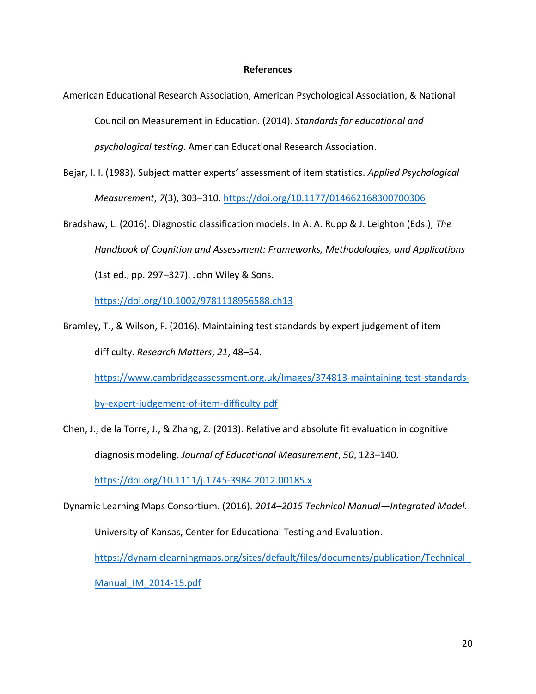## **References**

- American Educational Research Association, American Psychological Association, & National Council on Measurement in Education. (2014). *Standards for educational and psychological testing*. American Educational Research Association.
- Bejar, I. I. (1983). Subject matter experts' assessment of item statistics. *Applied Psychological Measurement*, *7*(3), 303–310. <https://doi.org/10.1177/014662168300700306>
- Bradshaw, L. (2016). Diagnostic classification models. In A. A. Rupp & J. Leighton (Eds.), *The Handbook of Cognition and Assessment: Frameworks, Methodologies, and Applications* (1st ed., pp. 297–327). John Wiley & Sons.

<https://doi.org/10.1002/9781118956588.ch13>

Bramley, T., & Wilson, F. (2016). Maintaining test standards by expert judgement of item difficulty. *Research Matters*, *21*, 48–54.

[https://www.cambridgeassessment.org.uk/Images/374813-maintaining-test-standards-](https://www.cambridgeassessment.org.uk/Images/374813-maintaining-test-standards-by-expert-judgement-of-item-difficulty.pdf)

[by-expert-judgement-of-item-difficulty.pdf](https://www.cambridgeassessment.org.uk/Images/374813-maintaining-test-standards-by-expert-judgement-of-item-difficulty.pdf)

Chen, J., de la Torre, J., & Zhang, Z. (2013). Relative and absolute fit evaluation in cognitive diagnosis modeling. *Journal of Educational Measurement*, *50*, 123–140.

<https://doi.org/10.1111/j.1745-3984.2012.00185.x>

Dynamic Learning Maps Consortium. (2016). *2014–2015 Technical Manual—Integrated Model.*

University of Kansas, Center for Educational Testing and Evaluation.

[https://dynamiclearningmaps.org/sites/default/files/documents/publication/Technical\\_](https://dynamiclearningmaps.org/sites/default/files/documents/publication/Technical_Manual_IM_2014-15.pdf)

[Manual\\_IM\\_2014-15.pdf](https://dynamiclearningmaps.org/sites/default/files/documents/publication/Technical_Manual_IM_2014-15.pdf)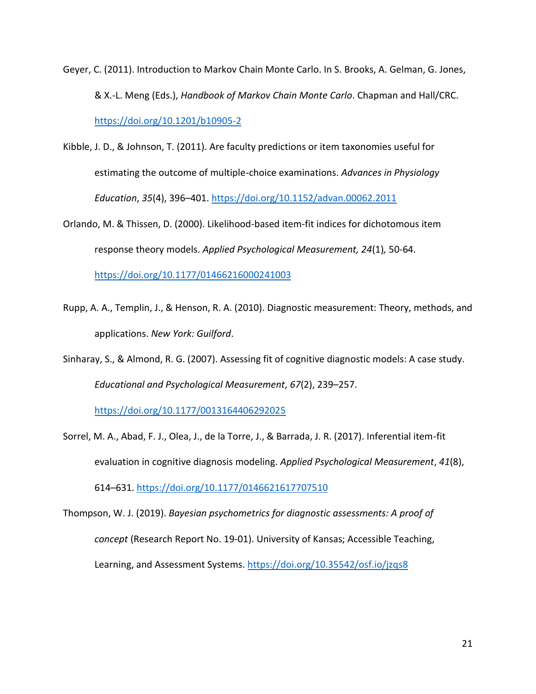Geyer, C. (2011). Introduction to Markov Chain Monte Carlo. In S. Brooks, A. Gelman, G. Jones, & X.-L. Meng (Eds.), *Handbook of Markov Chain Monte Carlo*. Chapman and Hall/CRC. <https://doi.org/10.1201/b10905-2>

Kibble, J. D., & Johnson, T. (2011). Are faculty predictions or item taxonomies useful for estimating the outcome of multiple-choice examinations. *Advances in Physiology Education*, *35*(4), 396–401.<https://doi.org/10.1152/advan.00062.2011>

Orlando, M. & Thissen, D. (2000). Likelihood-based item-fit indices for dichotomous item response theory models. *Applied Psychological Measurement, 24*(1)*,* 50-64.

<https://doi.org/10.1177/01466216000241003>

Rupp, A. A., Templin, J., & Henson, R. A. (2010). Diagnostic measurement: Theory, methods, and applications. *New York: Guilford*.

Sinharay, S., & Almond, R. G. (2007). Assessing fit of cognitive diagnostic models: A case study. *Educational and Psychological Measurement*, *67*(2), 239–257.

<https://doi.org/10.1177/0013164406292025>

Sorrel, M. A., Abad, F. J., Olea, J., de la Torre, J., & Barrada, J. R. (2017). Inferential item-fit evaluation in cognitive diagnosis modeling. *Applied Psychological Measurement*, *41*(8), 614–631.<https://doi.org/10.1177/0146621617707510>

Thompson, W. J. (2019). *Bayesian psychometrics for diagnostic assessments: A proof of concept* (Research Report No. 19-01). University of Kansas; Accessible Teaching, Learning, and Assessment Systems. <https://doi.org/10.35542/osf.io/jzqs8>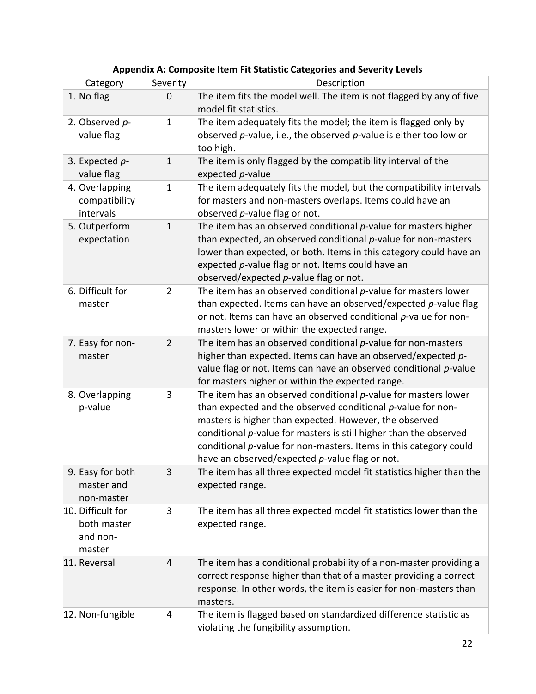| Category                                               | Severity       | Description                                                                                                                                                                                                                                                                                                                                                                               |
|--------------------------------------------------------|----------------|-------------------------------------------------------------------------------------------------------------------------------------------------------------------------------------------------------------------------------------------------------------------------------------------------------------------------------------------------------------------------------------------|
| 1. No flag                                             | 0              | The item fits the model well. The item is not flagged by any of five<br>model fit statistics.                                                                                                                                                                                                                                                                                             |
| 2. Observed p-<br>value flag                           | $\mathbf{1}$   | The item adequately fits the model; the item is flagged only by<br>observed $p$ -value, i.e., the observed $p$ -value is either too low or<br>too high.                                                                                                                                                                                                                                   |
| 3. Expected p-<br>value flag                           | $\mathbf 1$    | The item is only flagged by the compatibility interval of the<br>expected p-value                                                                                                                                                                                                                                                                                                         |
| 4. Overlapping<br>compatibility<br>intervals           | $\mathbf{1}$   | The item adequately fits the model, but the compatibility intervals<br>for masters and non-masters overlaps. Items could have an<br>observed p-value flag or not.                                                                                                                                                                                                                         |
| 5. Outperform<br>expectation                           | $\mathbf{1}$   | The item has an observed conditional $p$ -value for masters higher<br>than expected, an observed conditional $p$ -value for non-masters<br>lower than expected, or both. Items in this category could have an<br>expected p-value flag or not. Items could have an<br>observed/expected p-value flag or not.                                                                              |
| 6. Difficult for<br>master                             | $\overline{2}$ | The item has an observed conditional $p$ -value for masters lower<br>than expected. Items can have an observed/expected $p$ -value flag<br>or not. Items can have an observed conditional p-value for non-<br>masters lower or within the expected range.                                                                                                                                 |
| 7. Easy for non-<br>master                             | $\overline{2}$ | The item has an observed conditional $p$ -value for non-masters<br>higher than expected. Items can have an observed/expected p-<br>value flag or not. Items can have an observed conditional p-value<br>for masters higher or within the expected range.                                                                                                                                  |
| 8. Overlapping<br>p-value                              | 3              | The item has an observed conditional $p$ -value for masters lower<br>than expected and the observed conditional $p$ -value for non-<br>masters is higher than expected. However, the observed<br>conditional p-value for masters is still higher than the observed<br>conditional p-value for non-masters. Items in this category could<br>have an observed/expected p-value flag or not. |
| 9. Easy for both<br>master and<br>non-master           | 3              | The item has all three expected model fit statistics higher than the<br>expected range.                                                                                                                                                                                                                                                                                                   |
| 10. Difficult for<br>both master<br>and non-<br>master | 3              | The item has all three expected model fit statistics lower than the<br>expected range.                                                                                                                                                                                                                                                                                                    |
| 11. Reversal                                           | 4              | The item has a conditional probability of a non-master providing a<br>correct response higher than that of a master providing a correct<br>response. In other words, the item is easier for non-masters than<br>masters.                                                                                                                                                                  |
| 12. Non-fungible                                       | 4              | The item is flagged based on standardized difference statistic as<br>violating the fungibility assumption.                                                                                                                                                                                                                                                                                |

# **Appendix A: Composite Item Fit Statistic Categories and Severity Levels**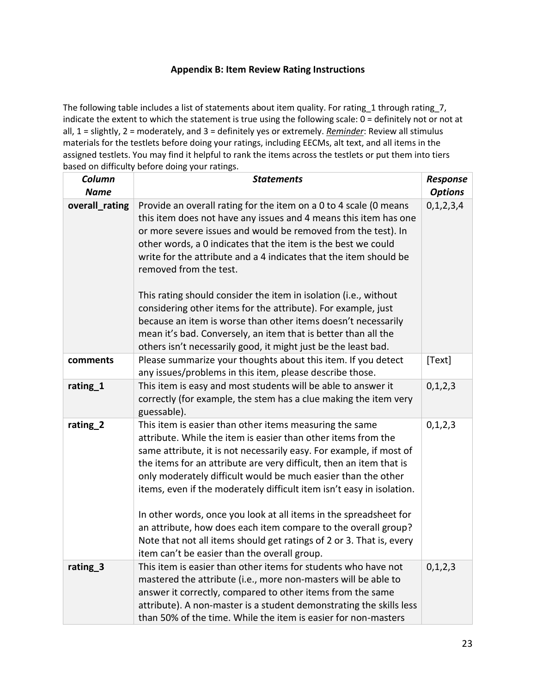# **Appendix B: Item Review Rating Instructions**

The following table includes a list of statements about item quality. For rating\_1 through rating\_7, indicate the extent to which the statement is true using the following scale: 0 = definitely not or not at all, 1 = slightly, 2 = moderately, and 3 = definitely yes or extremely. *Reminder*: Review all stimulus materials for the testlets before doing your ratings, including EECMs, alt text, and all items in the assigned testlets. You may find it helpful to rank the items across the testlets or put them into tiers based on difficulty before doing your ratings.

| Column<br><b>Name</b> | <b>Statements</b>                                                                                                                                                                                                                                                                                                                                                                                                                                                                                                                                                                                                                                                                                                | Response<br><b>Options</b> |
|-----------------------|------------------------------------------------------------------------------------------------------------------------------------------------------------------------------------------------------------------------------------------------------------------------------------------------------------------------------------------------------------------------------------------------------------------------------------------------------------------------------------------------------------------------------------------------------------------------------------------------------------------------------------------------------------------------------------------------------------------|----------------------------|
| overall_rating        | Provide an overall rating for the item on a 0 to 4 scale (0 means<br>this item does not have any issues and 4 means this item has one<br>or more severe issues and would be removed from the test). In<br>other words, a 0 indicates that the item is the best we could<br>write for the attribute and a 4 indicates that the item should be<br>removed from the test.<br>This rating should consider the item in isolation (i.e., without<br>considering other items for the attribute). For example, just<br>because an item is worse than other items doesn't necessarily<br>mean it's bad. Conversely, an item that is better than all the<br>others isn't necessarily good, it might just be the least bad. | 0, 1, 2, 3, 4              |
| comments              | Please summarize your thoughts about this item. If you detect<br>any issues/problems in this item, please describe those.                                                                                                                                                                                                                                                                                                                                                                                                                                                                                                                                                                                        | [Text]                     |
| rating_1              | This item is easy and most students will be able to answer it<br>correctly (for example, the stem has a clue making the item very<br>guessable).                                                                                                                                                                                                                                                                                                                                                                                                                                                                                                                                                                 | 0, 1, 2, 3                 |
| rating_2              | This item is easier than other items measuring the same<br>attribute. While the item is easier than other items from the<br>same attribute, it is not necessarily easy. For example, if most of<br>the items for an attribute are very difficult, then an item that is<br>only moderately difficult would be much easier than the other<br>items, even if the moderately difficult item isn't easy in isolation.<br>In other words, once you look at all items in the spreadsheet for<br>an attribute, how does each item compare to the overall group?<br>Note that not all items should get ratings of 2 or 3. That is, every<br>item can't be easier than the overall group.                                  | 0, 1, 2, 3                 |
| rating <sub>3</sub>   | This item is easier than other items for students who have not<br>mastered the attribute (i.e., more non-masters will be able to<br>answer it correctly, compared to other items from the same<br>attribute). A non-master is a student demonstrating the skills less<br>than 50% of the time. While the item is easier for non-masters                                                                                                                                                                                                                                                                                                                                                                          | 0, 1, 2, 3                 |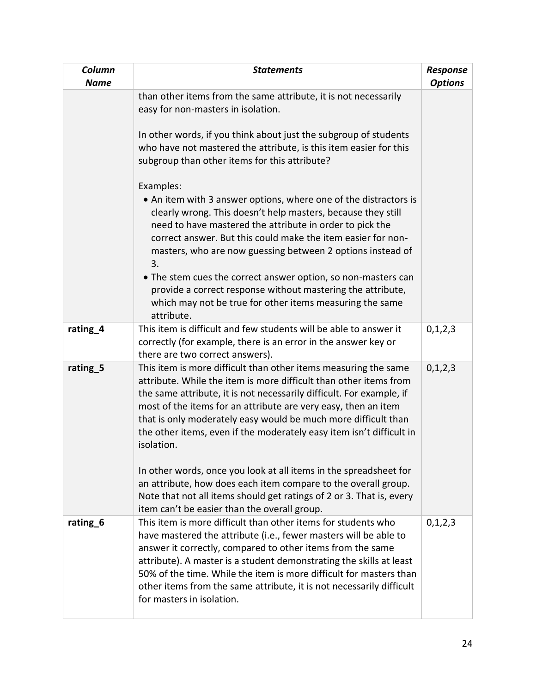| Column<br><b>Name</b> | <b>Statements</b>                                                                                                                                                                                                                                                                                                                                                                                                                                                                                                                                                                                                                                                                                                                                                                                                                                          | Response<br><b>Options</b> |
|-----------------------|------------------------------------------------------------------------------------------------------------------------------------------------------------------------------------------------------------------------------------------------------------------------------------------------------------------------------------------------------------------------------------------------------------------------------------------------------------------------------------------------------------------------------------------------------------------------------------------------------------------------------------------------------------------------------------------------------------------------------------------------------------------------------------------------------------------------------------------------------------|----------------------------|
|                       | than other items from the same attribute, it is not necessarily<br>easy for non-masters in isolation.<br>In other words, if you think about just the subgroup of students<br>who have not mastered the attribute, is this item easier for this<br>subgroup than other items for this attribute?<br>Examples:<br>• An item with 3 answer options, where one of the distractors is<br>clearly wrong. This doesn't help masters, because they still<br>need to have mastered the attribute in order to pick the<br>correct answer. But this could make the item easier for non-<br>masters, who are now guessing between 2 options instead of<br>3.<br>• The stem cues the correct answer option, so non-masters can<br>provide a correct response without mastering the attribute,<br>which may not be true for other items measuring the same<br>attribute. |                            |
| rating_4              | This item is difficult and few students will be able to answer it<br>correctly (for example, there is an error in the answer key or<br>there are two correct answers).                                                                                                                                                                                                                                                                                                                                                                                                                                                                                                                                                                                                                                                                                     | 0,1,2,3                    |
| rating <sub>5</sub>   | This item is more difficult than other items measuring the same<br>attribute. While the item is more difficult than other items from<br>the same attribute, it is not necessarily difficult. For example, if<br>most of the items for an attribute are very easy, then an item<br>that is only moderately easy would be much more difficult than<br>the other items, even if the moderately easy item isn't difficult in<br>isolation.<br>In other words, once you look at all items in the spreadsheet for<br>an attribute, how does each item compare to the overall group.<br>Note that not all items should get ratings of 2 or 3. That is, every                                                                                                                                                                                                      | 0, 1, 2, 3                 |
| rating <sub>6</sub>   | item can't be easier than the overall group.<br>This item is more difficult than other items for students who<br>have mastered the attribute (i.e., fewer masters will be able to<br>answer it correctly, compared to other items from the same<br>attribute). A master is a student demonstrating the skills at least<br>50% of the time. While the item is more difficult for masters than<br>other items from the same attribute, it is not necessarily difficult<br>for masters in isolation.                                                                                                                                                                                                                                                                                                                                                          | 0,1,2,3                    |